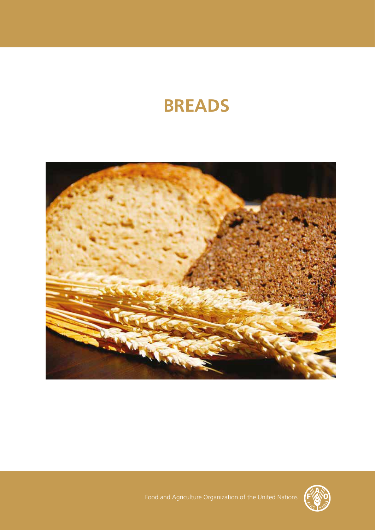# **BREADS**





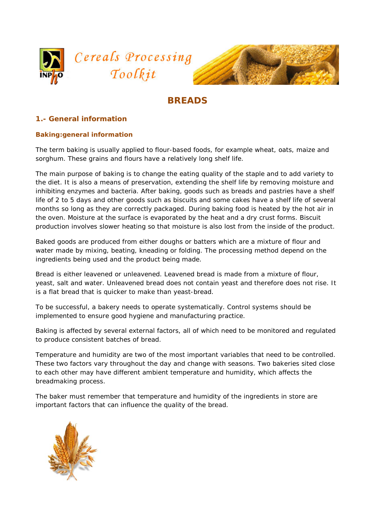



# **BREADS**

# **1.- General information**

#### **Baking:general information**

The term baking is usually applied to flour-based foods, for example wheat, oats, maize and sorghum. These grains and flours have a relatively long shelf life.

The main purpose of baking is to change the eating quality of the staple and to add variety to the diet. It is also a means of preservation, extending the shelf life by removing moisture and inhibiting enzymes and bacteria. After baking, goods such as breads and pastries have a shelf life of 2 to 5 days and other goods such as biscuits and some cakes have a shelf life of several months so long as they are correctly packaged. During baking food is heated by the hot air in the oven. Moisture at the surface is evaporated by the heat and a dry crust forms. Biscuit production involves slower heating so that moisture is also lost from the inside of the product.

Baked goods are produced from either doughs or batters which are a mixture of flour and water made by mixing, beating, kneading or folding. The processing method depend on the ingredients being used and the product being made.

Bread is either leavened or unleavened. Leavened bread is made from a mixture of flour, yeast, salt and water. Unleavened bread does not contain yeast and therefore does not rise. It is a flat bread that is quicker to make than yeast-bread.

To be successful, a bakery needs to operate systematically. Control systems should be implemented to ensure good hygiene and manufacturing practice.

Baking is affected by several external factors, all of which need to be monitored and regulated to produce consistent batches of bread.

Temperature and humidity are two of the most important variables that need to be controlled. These two factors vary throughout the day and change with seasons. Two bakeries sited close to each other may have different ambient temperature and humidity, which affects the breadmaking process.

The baker must remember that temperature and humidity of the ingredients in store are important factors that can influence the quality of the bread.

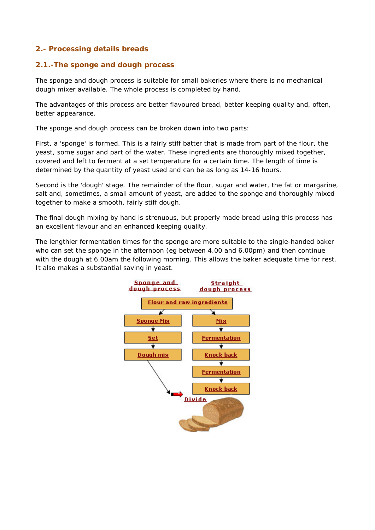# **2.- Processing details breads**

#### **2.1.-The sponge and dough process**

The sponge and dough process is suitable for small bakeries where there is no mechanical dough mixer available. The whole process is completed by hand.

The advantages of this process are better flavoured bread, better keeping quality and, often, better appearance.

The sponge and dough process can be broken down into two parts:

First, a 'sponge' is formed. This is a fairly stiff batter that is made from part of the flour, the yeast, some sugar and part of the water. These ingredients are thoroughly mixed together, covered and left to ferment at a set temperature for a certain time. The length of time is determined by the quantity of yeast used and can be as long as 14-16 hours.

Second is the 'dough' stage. The remainder of the flour, sugar and water, the fat or margarine, salt and, sometimes, a small amount of yeast, are added to the sponge and thoroughly mixed together to make a smooth, fairly stiff dough.

The final dough mixing by hand is strenuous, but properly made bread using this process has an excellent flavour and an enhanced keeping quality.

The lengthier fermentation times for the sponge are more suitable to the single-handed baker who can set the sponge in the afternoon (eg between 4.00 and 6.00pm) and then continue with the dough at 6.00am the following morning. This allows the baker adequate time for rest. It also makes a substantial saving in yeast.

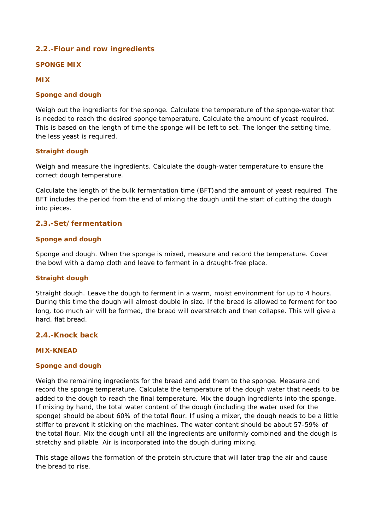# **2.2.-Flour and row ingredients**

#### **SPONGE MIX**

#### **MIX**

#### **Sponge and dough**

Weigh out the ingredients for the sponge. Calculate the temperature of the sponge-water that is needed to reach the desired sponge temperature. Calculate the amount of yeast required. This is based on the length of time the sponge will be left to set. The longer the setting time, the less yeast is required.

#### **Straight dough**

Weigh and measure the ingredients. Calculate the dough-water temperature to ensure the correct dough temperature.

Calculate the length of the bulk fermentation time (BFT)and the amount of yeast required. The BFT includes the period from the end of mixing the dough until the start of cutting the dough into pieces.

#### **2.3.-Set/fermentation**

#### **Sponge and dough**

Sponge and dough. When the sponge is mixed, measure and record the temperature. Cover the bowl with a damp cloth and leave to ferment in a draught-free place.

#### **Straight dough**

Straight dough. Leave the dough to ferment in a warm, moist environment for up to 4 hours. During this time the dough will almost double in size. If the bread is allowed to ferment for too long, too much air will be formed, the bread will overstretch and then collapse. This will give a hard, flat bread.

#### **2.4.-Knock back**

#### **MIX-KNEAD**

#### **Sponge and dough**

Weigh the remaining ingredients for the bread and add them to the sponge. Measure and record the sponge temperature. Calculate the temperature of the dough water that needs to be added to the dough to reach the final temperature. Mix the dough ingredients into the sponge. If mixing by hand, the total water content of the dough (including the water used for the sponge) should be about 60% of the total flour. If using a mixer, the dough needs to be a little stiffer to prevent it sticking on the machines. The water content should be about 57-59% of the total flour. Mix the dough until all the ingredients are uniformly combined and the dough is stretchy and pliable. Air is incorporated into the dough during mixing.

This stage allows the formation of the protein structure that will later trap the air and cause the bread to rise.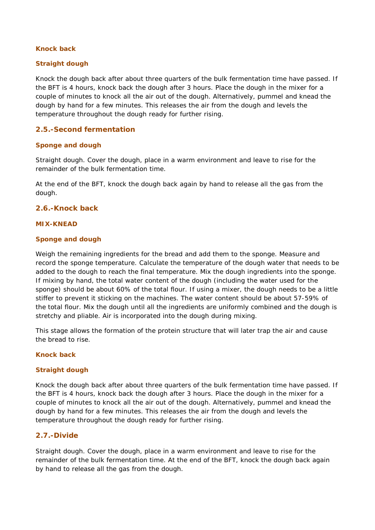#### **Knock back**

#### *Straight dough*

Knock the dough back after about three quarters of the bulk fermentation time have passed. If the BFT is 4 hours, knock back the dough after 3 hours. Place the dough in the mixer for a couple of minutes to knock all the air out of the dough. Alternatively, pummel and knead the dough by hand for a few minutes. This releases the air from the dough and levels the temperature throughout the dough ready for further rising.

#### **2.5.-Second fermentation**

#### **Sponge and dough**

Straight dough. Cover the dough, place in a warm environment and leave to rise for the remainder of the bulk fermentation time.

At the end of the BFT, knock the dough back again by hand to release all the gas from the dough.

#### **2.6.-Knock back**

#### **MIX-KNEAD**

#### **Sponge and dough**

Weigh the remaining ingredients for the bread and add them to the sponge. Measure and record the sponge temperature. Calculate the temperature of the dough water that needs to be added to the dough to reach the final temperature. Mix the dough ingredients into the sponge. If mixing by hand, the total water content of the dough (including the water used for the sponge) should be about 60% of the total flour. If using a mixer, the dough needs to be a little stiffer to prevent it sticking on the machines. The water content should be about 57-59% of the total flour. Mix the dough until all the ingredients are uniformly combined and the dough is stretchy and pliable. Air is incorporated into the dough during mixing.

This stage allows the formation of the protein structure that will later trap the air and cause the bread to rise.

#### **Knock back**

#### *Straight dough*

Knock the dough back after about three quarters of the bulk fermentation time have passed. If the BFT is 4 hours, knock back the dough after 3 hours. Place the dough in the mixer for a couple of minutes to knock all the air out of the dough. Alternatively, pummel and knead the dough by hand for a few minutes. This releases the air from the dough and levels the temperature throughout the dough ready for further rising.

#### **2.7.-Divide**

Straight dough. Cover the dough, place in a warm environment and leave to rise for the remainder of the bulk fermentation time. At the end of the BFT, knock the dough back again by hand to release all the gas from the dough.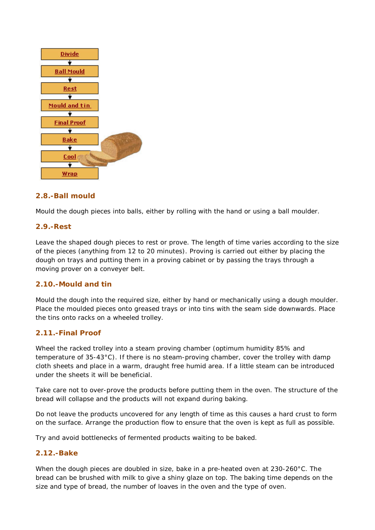

# **2.8.-Ball mould**

Mould the dough pieces into balls, either by rolling with the hand or using a ball moulder.

#### **2.9.-Rest**

Leave the shaped dough pieces to rest or prove. The length of time varies according to the size of the pieces (anything from 12 to 20 minutes). Proving is carried out either by placing the dough on trays and putting them in a proving cabinet or by passing the trays through a moving prover on a conveyer belt.

#### **2.10.-Mould and tin**

Mould the dough into the required size, either by hand or mechanically using a dough moulder. Place the moulded pieces onto greased trays or into tins with the seam side downwards. Place the tins onto racks on a wheeled trolley.

#### **2.11.-Final Proof**

Wheel the racked trolley into a steam proving chamber (optimum humidity 85% and temperature of 35-43°C). If there is no steam-proving chamber, cover the trolley with damp cloth sheets and place in a warm, draught free humid area. If a little steam can be introduced under the sheets it will be beneficial.

Take care not to over-prove the products before putting them in the oven. The structure of the bread will collapse and the products will not expand during baking.

Do not leave the products uncovered for any length of time as this causes a hard crust to form on the surface. Arrange the production flow to ensure that the oven is kept as full as possible.

Try and avoid bottlenecks of fermented products waiting to be baked.

#### **2.12.-Bake**

When the dough pieces are doubled in size, bake in a pre-heated oven at 230-260°C. The bread can be brushed with milk to give a shiny glaze on top. The baking time depends on the size and type of bread, the number of loaves in the oven and the type of oven.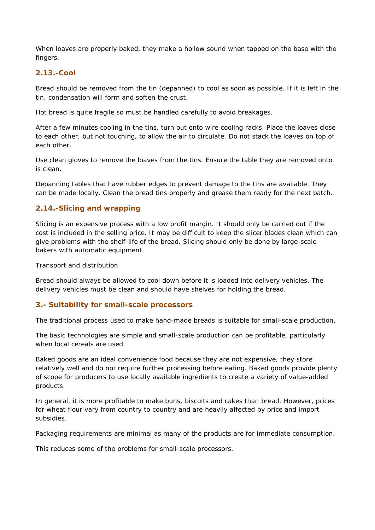When loaves are properly baked, they make a hollow sound when tapped on the base with the fingers.

#### **2.13.-Cool**

Bread should be removed from the tin (depanned) to cool as soon as possible. If it is left in the tin, condensation will form and soften the crust.

Hot bread is quite fragile so must be handled carefully to avoid breakages.

After a few minutes cooling in the tins, turn out onto wire cooling racks. Place the loaves close to each other, but not touching, to allow the air to circulate. Do not stack the loaves on top of each other.

Use clean gloves to remove the loaves from the tins. Ensure the table they are removed onto is clean.

Depanning tables that have rubber edges to prevent damage to the tins are available. They can be made locally. Clean the bread tins properly and grease them ready for the next batch.

# **2.14.-Slicing and wrapping**

Slicing is an expensive process with a low profit margin. It should only be carried out if the cost is included in the selling price. It may be difficult to keep the slicer blades clean which can give problems with the shelf-life of the bread. Slicing should only be done by large-scale bakers with automatic equipment.

Transport and distribution

Bread should always be allowed to cool down before it is loaded into delivery vehicles. The delivery vehicles must be clean and should have shelves for holding the bread.

#### **3.- Suitability for small-scale processors**

The traditional process used to make hand-made breads is suitable for small-scale production.

The basic technologies are simple and small-scale production can be profitable, particularly when local cereals are used.

Baked goods are an ideal convenience food because they are not expensive, they store relatively well and do not require further processing before eating. Baked goods provide plenty of scope for producers to use locally available ingredients to create a variety of value-added products.

In general, it is more profitable to make buns, biscuits and cakes than bread. However, prices for wheat flour vary from country to country and are heavily affected by price and import subsidies.

Packaging requirements are minimal as many of the products are for immediate consumption.

This reduces some of the problems for small-scale processors.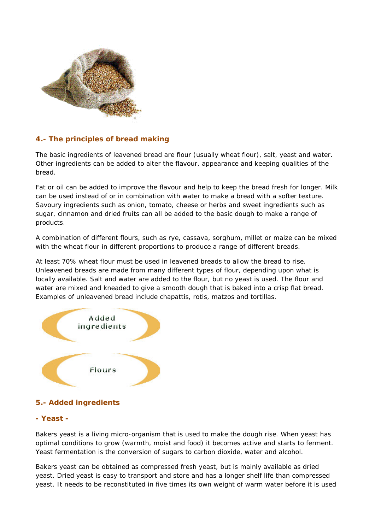

# **4.- The principles of bread making**

The basic ingredients of leavened bread are flour (usually wheat flour), salt, yeast and water. Other ingredients can be added to alter the flavour, appearance and keeping qualities of the bread.

Fat or oil can be added to improve the flavour and help to keep the bread fresh for longer. Milk can be used instead of or in combination with water to make a bread with a softer texture. Savoury ingredients such as onion, tomato, cheese or herbs and sweet ingredients such as sugar, cinnamon and dried fruits can all be added to the basic dough to make a range of products.

A combination of different flours, such as rye, cassava, sorghum, millet or maize can be mixed with the wheat flour in different proportions to produce a range of different breads.

At least 70% wheat flour must be used in leavened breads to allow the bread to rise. Unleavened breads are made from many different types of flour, depending upon what is locally available. Salt and water are added to the flour, but no yeast is used. The flour and water are mixed and kneaded to give a smooth dough that is baked into a crisp flat bread. Examples of unleavened bread include chapattis, rotis, matzos and tortillas.



# **5.- Added ingredients**

#### **- Yeast -**

Bakers yeast is a living micro-organism that is used to make the dough rise. When yeast has optimal conditions to grow (warmth, moist and food) it becomes active and starts to ferment. Yeast fermentation is the conversion of sugars to carbon dioxide, water and alcohol.

Bakers yeast can be obtained as compressed fresh yeast, but is mainly available as dried yeast. Dried yeast is easy to transport and store and has a longer shelf life than compressed yeast. It needs to be reconstituted in five times its own weight of warm water before it is used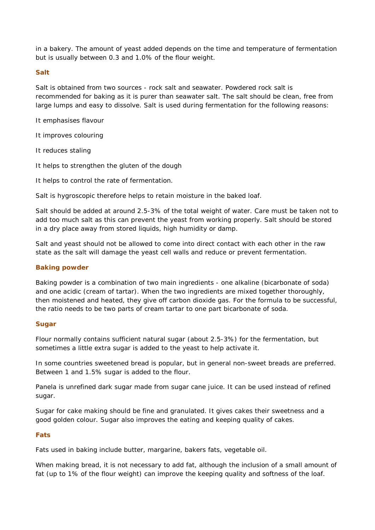in a bakery. The amount of yeast added depends on the time and temperature of fermentation but is usually between 0.3 and 1.0% of the flour weight.

#### **Salt**

Salt is obtained from two sources - rock salt and seawater. Powdered rock salt is recommended for baking as it is purer than seawater salt. The salt should be clean, free from large lumps and easy to dissolve. Salt is used during fermentation for the following reasons:

It emphasises flavour

It improves colouring

It reduces staling

It helps to strengthen the gluten of the dough

It helps to control the rate of fermentation.

Salt is hygroscopic therefore helps to retain moisture in the baked loaf.

Salt should be added at around 2.5-3% of the total weight of water. Care must be taken not to add too much salt as this can prevent the yeast from working properly. Salt should be stored in a dry place away from stored liquids, high humidity or damp.

Salt and yeast should not be allowed to come into direct contact with each other in the raw state as the salt will damage the yeast cell walls and reduce or prevent fermentation.

#### **Baking powder**

Baking powder is a combination of two main ingredients - one alkaline (bicarbonate of soda) and one acidic (cream of tartar). When the two ingredients are mixed together thoroughly, then moistened and heated, they give off carbon dioxide gas. For the formula to be successful, the ratio needs to be two parts of cream tartar to one part bicarbonate of soda.

#### **Sugar**

Flour normally contains sufficient natural sugar (about 2.5-3%) for the fermentation, but sometimes a little extra sugar is added to the yeast to help activate it.

In some countries sweetened bread is popular, but in general non-sweet breads are preferred. Between 1 and 1.5% sugar is added to the flour.

Panela is unrefined dark sugar made from sugar cane juice. It can be used instead of refined sugar.

Sugar for cake making should be fine and granulated. It gives cakes their sweetness and a good golden colour. Sugar also improves the eating and keeping quality of cakes.

#### **Fats**

Fats used in baking include butter, margarine, bakers fats, vegetable oil.

When making bread, it is not necessary to add fat, although the inclusion of a small amount of fat (up to 1% of the flour weight) can improve the keeping quality and softness of the loaf.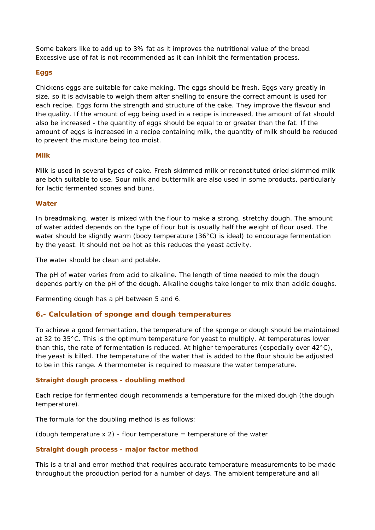Some bakers like to add up to 3% fat as it improves the nutritional value of the bread. Excessive use of fat is not recommended as it can inhibit the fermentation process.

#### **Eggs**

Chickens eggs are suitable for cake making. The eggs should be fresh. Eggs vary greatly in size, so it is advisable to weigh them after shelling to ensure the correct amount is used for each recipe. Eggs form the strength and structure of the cake. They improve the flavour and the quality. If the amount of egg being used in a recipe is increased, the amount of fat should also be increased - the quantity of eggs should be equal to or greater than the fat. If the amount of eggs is increased in a recipe containing milk, the quantity of milk should be reduced to prevent the mixture being too moist.

#### **Milk**

Milk is used in several types of cake. Fresh skimmed milk or reconstituted dried skimmed milk are both suitable to use. Sour milk and buttermilk are also used in some products, particularly for lactic fermented scones and buns.

#### **Water**

In breadmaking, water is mixed with the flour to make a strong, stretchy dough. The amount of water added depends on the type of flour but is usually half the weight of flour used. The water should be slightly warm (body temperature (36°C) is ideal) to encourage fermentation by the yeast. It should not be hot as this reduces the yeast activity.

The water should be clean and potable.

The pH of water varies from acid to alkaline. The length of time needed to mix the dough depends partly on the pH of the dough. Alkaline doughs take longer to mix than acidic doughs.

Fermenting dough has a pH between 5 and 6.

#### **6.- Calculation of sponge and dough temperatures**

To achieve a good fermentation, the temperature of the sponge or dough should be maintained at 32 to 35°C. This is the optimum temperature for yeast to multiply. At temperatures lower than this, the rate of fermentation is reduced. At higher temperatures (especially over 42°C), the yeast is killed. The temperature of the water that is added to the flour should be adjusted to be in this range. A thermometer is required to measure the water temperature.

#### **Straight dough process - doubling method**

Each recipe for fermented dough recommends a temperature for the mixed dough (the dough temperature).

The formula for the doubling method is as follows:

(dough temperature  $x$  2) - flour temperature  $=$  temperature of the water

#### **Straight dough process - major factor method**

This is a trial and error method that requires accurate temperature measurements to be made throughout the production period for a number of days. The ambient temperature and all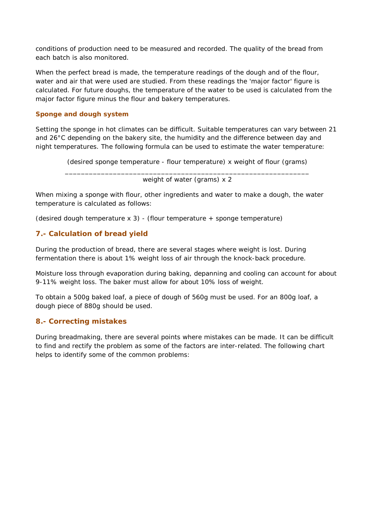conditions of production need to be measured and recorded. The quality of the bread from each batch is also monitored.

When the perfect bread is made, the temperature readings of the dough and of the flour, water and air that were used are studied. From these readings the 'major factor' figure is calculated. For future doughs, the temperature of the water to be used is calculated from the major factor figure minus the flour and bakery temperatures.

#### **Sponge and dough system**

Setting the sponge in hot climates can be difficult. Suitable temperatures can vary between 21 and 26°C depending on the bakery site, the humidity and the difference between day and night temperatures. The following formula can be used to estimate the water temperature:

(desired sponge temperature - flour temperature) x weight of flour (grams)

\_\_\_\_\_\_\_\_\_\_\_\_\_\_\_\_\_\_\_\_\_\_\_\_\_\_\_\_\_\_\_\_\_\_\_\_\_\_\_\_\_\_\_\_\_\_\_\_\_\_\_\_\_\_\_\_\_\_\_\_\_ weight of water (grams) x 2

When mixing a sponge with flour, other ingredients and water to make a dough, the water temperature is calculated as follows:

(desired dough temperature  $x$  3) - (flour temperature + sponge temperature)

# **7.- Calculation of bread yield**

During the production of bread, there are several stages where weight is lost. During fermentation there is about 1% weight loss of air through the knock-back procedure.

Moisture loss through evaporation during baking, depanning and cooling can account for about 9-11% weight loss. The baker must allow for about 10% loss of weight.

To obtain a 500g baked loaf, a piece of dough of 560g must be used. For an 800g loaf, a dough piece of 880g should be used.

#### **8.- Correcting mistakes**

During breadmaking, there are several points where mistakes can be made. It can be difficult to find and rectify the problem as some of the factors are inter-related. The following chart helps to identify some of the common problems: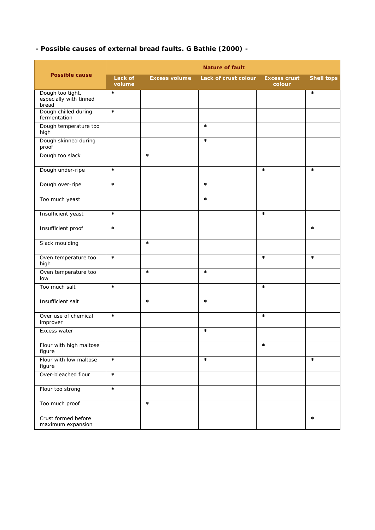# **- Possible causes of external bread faults. G Bathie (2000) -**

| <b>Possible cause</b>                               | <b>Nature of fault</b> |                      |                      |                               |                   |  |  |
|-----------------------------------------------------|------------------------|----------------------|----------------------|-------------------------------|-------------------|--|--|
|                                                     | Lack of<br>volume      | <b>Excess volume</b> | Lack of crust colour | <b>Excess crust</b><br>colour | <b>Shell tops</b> |  |  |
| Dough too tight,<br>especially with tinned<br>bread | $\ast$                 |                      |                      |                               | $\ast$            |  |  |
| Dough chilled during<br>fermentation                | $\ast$                 |                      |                      |                               |                   |  |  |
| Dough temperature too<br>high                       |                        |                      | $\ast$               |                               |                   |  |  |
| Dough skinned during<br>proof                       |                        |                      | $\ast$               |                               |                   |  |  |
| Dough too slack                                     |                        | $\ast$               |                      |                               |                   |  |  |
| Dough under-ripe                                    | $\ast$                 |                      |                      | $\ast$                        | $\ast$            |  |  |
| Dough over-ripe                                     | $\ast$                 |                      | $\ast$               |                               |                   |  |  |
| Too much yeast                                      |                        |                      | $\ast$               |                               |                   |  |  |
| Insufficient yeast                                  | $\ast$                 |                      |                      | $\ast$                        |                   |  |  |
| Insufficient proof                                  | $\ast$                 |                      |                      |                               | $\ast$            |  |  |
| Slack moulding                                      |                        | $\ast$               |                      |                               |                   |  |  |
| Oven temperature too<br>high                        | $\ast$                 |                      |                      | $\ast$                        | $\ast$            |  |  |
| Oven temperature too<br>low                         |                        | $\ast$               | $\ast$               |                               |                   |  |  |
| Too much salt                                       | $\ast$                 |                      |                      | $\ast$                        |                   |  |  |
| Insufficient salt                                   |                        | $\ast$               | $\ast$               |                               |                   |  |  |
| Over use of chemical<br>improver                    | $\ast$                 |                      |                      | *                             |                   |  |  |
| <b>Excess water</b>                                 |                        |                      | $\ast$               |                               |                   |  |  |
| Flour with high maltose<br>figure                   |                        |                      |                      | $\ast$                        |                   |  |  |
| Flour with low maltose<br>figure                    | $\ast$                 |                      | $\ast$               |                               | $\ast$            |  |  |
| Over-bleached flour                                 | $\ast$                 |                      |                      |                               |                   |  |  |
| Flour too strong                                    | $\ast$                 |                      |                      |                               |                   |  |  |
| Too much proof                                      |                        | $\ast$               |                      |                               |                   |  |  |
| Crust formed before<br>maximum expansion            |                        |                      |                      |                               | $\ast$            |  |  |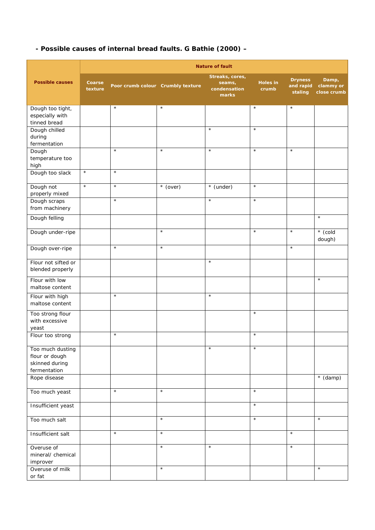# **- Possible causes of internal bread faults. G Bathie (2000) –**

|                                                                      | <b>Nature of fault</b> |                                   |            |                                                    |                          |                                        |                                   |
|----------------------------------------------------------------------|------------------------|-----------------------------------|------------|----------------------------------------------------|--------------------------|----------------------------------------|-----------------------------------|
| <b>Possible causes</b>                                               | Coarse<br>texture      | Poor crumb colour Crumbly texture |            | Streaks, cores,<br>seams,<br>condensation<br>marks | <b>Holes in</b><br>crumb | <b>Dryness</b><br>and rapid<br>staling | Damp,<br>clammy or<br>close crumb |
| Dough too tight,<br>especially with<br>tinned bread                  |                        | $\star$                           | $\star$    |                                                    | $\star$                  | $\star$                                |                                   |
| Dough chilled<br>during<br>fermentation                              |                        |                                   |            | $\star$                                            | $\star$                  |                                        |                                   |
| Dough<br>temperature too<br>high                                     |                        | $\star$                           | $\star$    | $\star$                                            | $\star$                  | $\star$                                |                                   |
| Dough too slack                                                      | $\star$                | $\star$                           |            |                                                    |                          |                                        |                                   |
| Dough not<br>properly mixed                                          | $\star$                | $\star$                           | $*$ (over) | * (under)                                          | $\star$                  |                                        |                                   |
| Dough scraps<br>from machinery                                       |                        | $\star$                           |            | $\star$                                            | $\star$                  |                                        |                                   |
| Dough felling                                                        |                        |                                   |            |                                                    |                          |                                        | $\star$                           |
| Dough under-ripe                                                     |                        |                                   | $\star$    |                                                    | $\star$                  | $\star$                                | $*$ (cold<br>dough)               |
| Dough over-ripe                                                      |                        | $\star$                           | $\star$    |                                                    |                          | $\star$                                |                                   |
| Flour not sifted or<br>blended properly                              |                        |                                   |            | $\star$                                            |                          |                                        |                                   |
| Flour with low<br>maltose content                                    |                        |                                   |            |                                                    |                          |                                        | $\star$                           |
| Flour with high<br>maltose content                                   |                        | $\star$                           |            | $\star$                                            |                          |                                        |                                   |
| Too strong flour<br>with excessive<br>yeast                          |                        |                                   |            |                                                    | $\star$                  |                                        |                                   |
| Flour too strong                                                     |                        | $\star$                           |            |                                                    | $\star$                  |                                        |                                   |
| Too much dusting<br>flour or dough<br>skinned during<br>fermentation |                        |                                   |            | $\star$                                            | $\star$                  |                                        |                                   |
| Rope disease                                                         |                        |                                   |            |                                                    |                          |                                        | $*(\text{damp})$                  |
| Too much yeast                                                       |                        | $\star$                           | $\star$    |                                                    | $\star$                  |                                        |                                   |
| Insufficient yeast                                                   |                        |                                   |            |                                                    | $\star$                  |                                        |                                   |
| Too much salt                                                        |                        |                                   | $\star$    |                                                    | $\star$                  |                                        | $\star$                           |
| Insufficient salt                                                    |                        | $\star$                           | $\star$    |                                                    |                          | $\star$                                |                                   |
| Overuse of<br>mineral/ chemical<br>improver                          |                        |                                   | $\star$    | $\star$                                            |                          | $\star$                                |                                   |
| Overuse of milk<br>or fat                                            |                        |                                   | $\star$    |                                                    |                          |                                        | $\star$                           |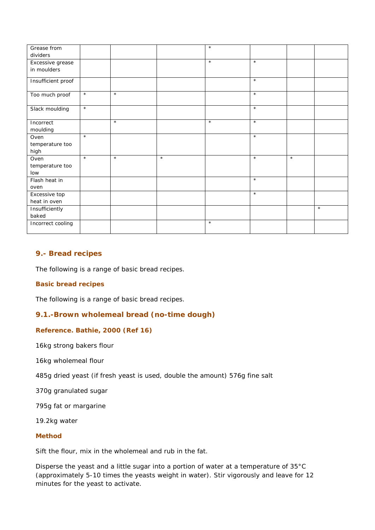| Grease from        |         |         |         | $\star$ |         |         |         |
|--------------------|---------|---------|---------|---------|---------|---------|---------|
| dividers           |         |         |         |         |         |         |         |
| Excessive grease   |         |         |         | $\star$ | $\star$ |         |         |
| in moulders        |         |         |         |         |         |         |         |
|                    |         |         |         |         | $\star$ |         |         |
| Insufficient proof |         |         |         |         |         |         |         |
|                    | $\star$ | $\star$ |         |         | $\star$ |         |         |
| Too much proof     |         |         |         |         |         |         |         |
|                    | $\star$ |         |         |         | $\star$ |         |         |
| Slack moulding     |         |         |         |         |         |         |         |
| Incorrect          |         | $\star$ |         | $\star$ | $\star$ |         |         |
|                    |         |         |         |         |         |         |         |
| moulding           | $\star$ |         |         |         | $\star$ |         |         |
| Oven               |         |         |         |         |         |         |         |
| temperature too    |         |         |         |         |         |         |         |
| high               | $\star$ |         | $\star$ |         |         |         |         |
| Oven               |         | $\star$ |         |         | $\star$ | $\star$ |         |
| temperature too    |         |         |         |         |         |         |         |
| low                |         |         |         |         |         |         |         |
| Flash heat in      |         |         |         |         | $\star$ |         |         |
| oven               |         |         |         |         |         |         |         |
| Excessive top      |         |         |         |         | $\star$ |         |         |
| heat in oven       |         |         |         |         |         |         |         |
| Insufficiently     |         |         |         |         |         |         | $\star$ |
| baked              |         |         |         |         |         |         |         |
| Incorrect cooling  |         |         |         | $\star$ |         |         |         |
|                    |         |         |         |         |         |         |         |

# **9.- Bread recipes**

The following is a range of basic bread recipes.

#### **Basic bread recipes**

The following is a range of basic bread recipes.

#### **9.1.-Brown wholemeal bread (no-time dough)**

#### **Reference. Bathie, 2000 (Ref 16)**

16kg strong bakers flour

16kg wholemeal flour

485g dried yeast (if fresh yeast is used, double the amount) 576g fine salt

370g granulated sugar

795g fat or margarine

19.2kg water

#### **Method**

Sift the flour, mix in the wholemeal and rub in the fat.

Disperse the yeast and a little sugar into a portion of water at a temperature of 35°C (approximately 5-10 times the yeasts weight in water). Stir vigorously and leave for 12 minutes for the yeast to activate.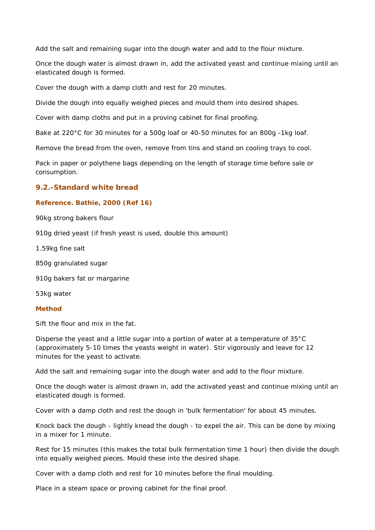Add the salt and remaining sugar into the dough water and add to the flour mixture.

Once the dough water is almost drawn in, add the activated yeast and continue mixing until an elasticated dough is formed.

Cover the dough with a damp cloth and rest for 20 minutes.

Divide the dough into equally weighed pieces and mould them into desired shapes.

Cover with damp cloths and put in a proving cabinet for final proofing.

Bake at 220°C for 30 minutes for a 500g loaf or 40-50 minutes for an 800g -1kg loaf.

Remove the bread from the oven, remove from tins and stand on cooling trays to cool.

Pack in paper or polythene bags depending on the length of storage time before sale or consumption.

#### **9.2.-Standard white bread**

#### **Reference. Bathie, 2000 (Ref 16)**

90kg strong bakers flour

910g dried yeast (if fresh yeast is used, double this amount)

1.59kg fine salt

850g granulated sugar

910g bakers fat or margarine

53kg water

#### **Method**

Sift the flour and mix in the fat.

Disperse the yeast and a little sugar into a portion of water at a temperature of 35°C (approximately 5-10 times the yeasts weight in water). Stir vigorously and leave for 12 minutes for the yeast to activate.

Add the salt and remaining sugar into the dough water and add to the flour mixture.

Once the dough water is almost drawn in, add the activated yeast and continue mixing until an elasticated dough is formed.

Cover with a damp cloth and rest the dough in 'bulk fermentation' for about 45 minutes.

Knock back the dough - lightly knead the dough - to expel the air. This can be done by mixing in a mixer for 1 minute.

Rest for 15 minutes (this makes the total bulk fermentation time 1 hour) then divide the dough into equally weighed pieces. Mould these into the desired shape.

Cover with a damp cloth and rest for 10 minutes before the final moulding.

Place in a steam space or proving cabinet for the final proof.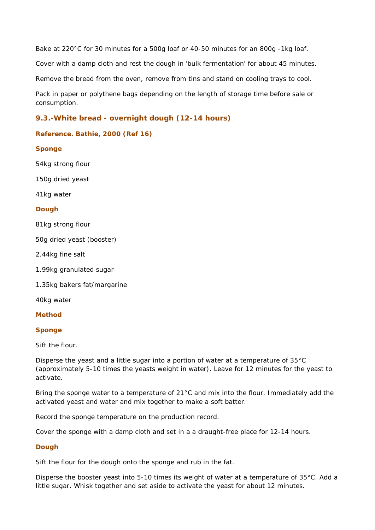Bake at 220°C for 30 minutes for a 500g loaf or 40-50 minutes for an 800g -1kg loaf.

Cover with a damp cloth and rest the dough in 'bulk fermentation' for about 45 minutes.

Remove the bread from the oven, remove from tins and stand on cooling trays to cool.

Pack in paper or polythene bags depending on the length of storage time before sale or consumption.

# **9.3.-White bread - overnight dough (12-14 hours)**

#### **Reference. Bathie, 2000 (Ref 16)**

#### **Sponge**

54kg strong flour

150g dried yeast

41kg water

#### **Dough**

81kg strong flour

50g dried yeast (booster)

2.44kg fine salt

1.99kg granulated sugar

1.35kg bakers fat/margarine

40kg water

#### **Method**

#### **Sponge**

Sift the flour.

Disperse the yeast and a little sugar into a portion of water at a temperature of 35°C (approximately 5-10 times the yeasts weight in water). Leave for 12 minutes for the yeast to activate.

Bring the sponge water to a temperature of 21°C and mix into the flour. Immediately add the activated yeast and water and mix together to make a soft batter.

Record the sponge temperature on the production record.

Cover the sponge with a damp cloth and set in a a draught-free place for 12-14 hours.

#### **Dough**

Sift the flour for the dough onto the sponge and rub in the fat.

Disperse the booster yeast into 5-10 times its weight of water at a temperature of 35°C. Add a little sugar. Whisk together and set aside to activate the yeast for about 12 minutes.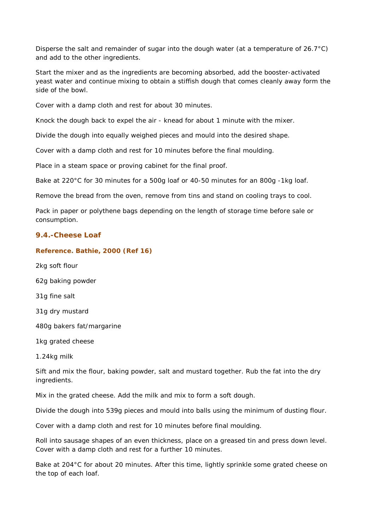Disperse the salt and remainder of sugar into the dough water (at a temperature of 26.7°C) and add to the other ingredients.

Start the mixer and as the ingredients are becoming absorbed, add the booster-activated yeast water and continue mixing to obtain a stiffish dough that comes cleanly away form the side of the bowl.

Cover with a damp cloth and rest for about 30 minutes.

Knock the dough back to expel the air - knead for about 1 minute with the mixer.

Divide the dough into equally weighed pieces and mould into the desired shape.

Cover with a damp cloth and rest for 10 minutes before the final moulding.

Place in a steam space or proving cabinet for the final proof.

Bake at 220°C for 30 minutes for a 500g loaf or 40-50 minutes for an 800g -1kg loaf.

Remove the bread from the oven, remove from tins and stand on cooling trays to cool.

Pack in paper or polythene bags depending on the length of storage time before sale or consumption.

#### **9.4.-Cheese Loaf**

#### **Reference. Bathie, 2000 (Ref 16)**

2kg soft flour 62g baking powder 31g fine salt 31g dry mustard 480g bakers fat/margarine

1kg grated cheese

1.24kg milk

Sift and mix the flour, baking powder, salt and mustard together. Rub the fat into the dry ingredients.

Mix in the grated cheese. Add the milk and mix to form a soft dough.

Divide the dough into 539g pieces and mould into balls using the minimum of dusting flour.

Cover with a damp cloth and rest for 10 minutes before final moulding.

Roll into sausage shapes of an even thickness, place on a greased tin and press down level. Cover with a damp cloth and rest for a further 10 minutes.

Bake at 204°C for about 20 minutes. After this time, lightly sprinkle some grated cheese on the top of each loaf.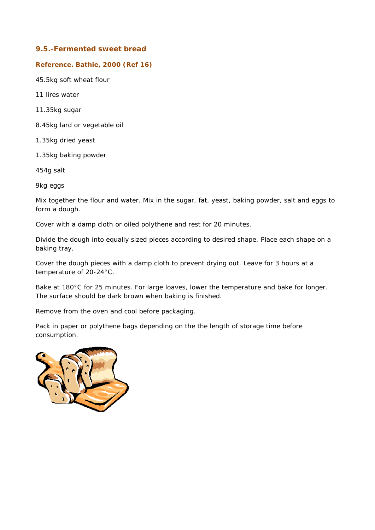#### **9.5.-Fermented sweet bread**

#### **Reference. Bathie, 2000 (Ref 16)**

45.5kg soft wheat flour

11 lires water

11.35kg sugar

8.45kg lard or vegetable oil

1.35kg dried yeast

1.35kg baking powder

454g salt

9kg eggs

Mix together the flour and water. Mix in the sugar, fat, yeast, baking powder, salt and eggs to form a dough.

Cover with a damp cloth or oiled polythene and rest for 20 minutes.

Divide the dough into equally sized pieces according to desired shape. Place each shape on a baking tray.

Cover the dough pieces with a damp cloth to prevent drying out. Leave for 3 hours at a temperature of 20-24°C.

Bake at 180°C for 25 minutes. For large loaves, lower the temperature and bake for longer. The surface should be dark brown when baking is finished.

Remove from the oven and cool before packaging.

Pack in paper or polythene bags depending on the the length of storage time before consumption.

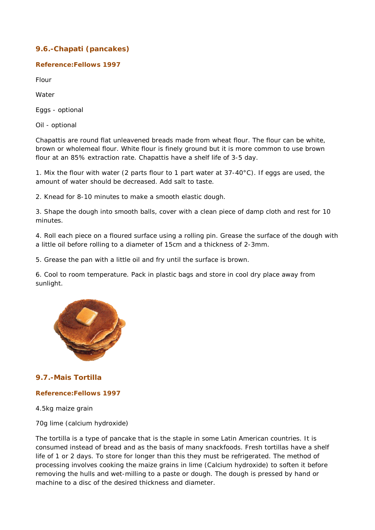# **9.6.-Chapati (pancakes)**

#### **Reference:Fellows 1997**

Flour

Water

Eggs - optional

Oil - optional

Chapattis are round flat unleavened breads made from wheat flour. The flour can be white, brown or wholemeal flour. White flour is finely ground but it is more common to use brown flour at an 85% extraction rate. Chapattis have a shelf life of 3-5 day.

1. Mix the flour with water (2 parts flour to 1 part water at  $37-40^{\circ}$ C). If eggs are used, the amount of water should be decreased. Add salt to taste.

2. Knead for 8-10 minutes to make a smooth elastic dough.

3. Shape the dough into smooth balls, cover with a clean piece of damp cloth and rest for 10 minutes.

4. Roll each piece on a floured surface using a rolling pin. Grease the surface of the dough with a little oil before rolling to a diameter of 15cm and a thickness of 2-3mm.

5. Grease the pan with a little oil and fry until the surface is brown.

6. Cool to room temperature. Pack in plastic bags and store in cool dry place away from sunlight.



# **9.7.-Mais Tortilla**

#### **Reference:Fellows 1997**

4.5kg maize grain

70g lime (calcium hydroxide)

The tortilla is a type of pancake that is the staple in some Latin American countries. It is consumed instead of bread and as the basis of many snackfoods. Fresh tortillas have a shelf life of 1 or 2 days. To store for longer than this they must be refrigerated. The method of processing involves cooking the maize grains in lime (Calcium hydroxide) to soften it before removing the hulls and wet-milling to a paste or dough. The dough is pressed by hand or machine to a disc of the desired thickness and diameter.